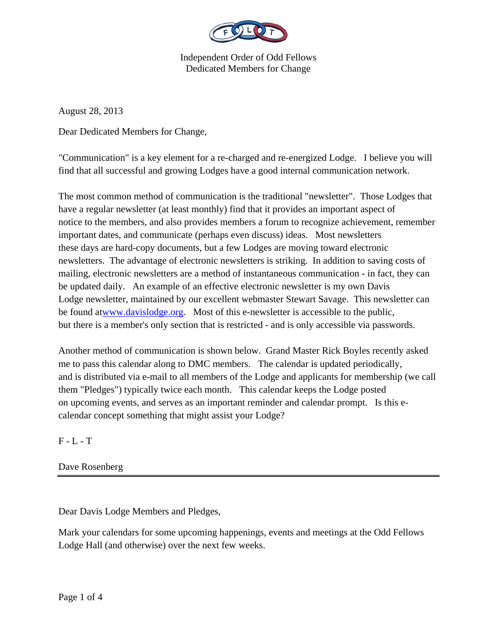

August 28, 2013

Dear Dedicated Members for Change,

"Communication" is a key element for a re-charged and re-energized Lodge. I believe you will find that all successful and growing Lodges have a good internal communication network.

The most common method of communication is the traditional "newsletter". Those Lodges that have a regular newsletter (at least monthly) find that it provides an important aspect of notice to the members, and also provides members a forum to recognize achievement, remember important dates, and communicate (perhaps even discuss) ideas. Most newsletters these days are hard-copy documents, but a few Lodges are moving toward electronic newsletters. The advantage of electronic newsletters is striking. In addition to saving costs of mailing, electronic newsletters are a method of instantaneous communication - in fact, they can be updated daily. An example of an effective electronic newsletter is my own Davis Lodge newsletter, maintained by our excellent webmaster Stewart Savage. This newsletter can be found atwww.davislodge.org. Most of this e-newsletter is accessible to the public, but there is a member's only section that is restricted - and is only accessible via passwords.

Another method of communication is shown below. Grand Master Rick Boyles recently asked me to pass this calendar along to DMC members. The calendar is updated periodically, and is distributed via e-mail to all members of the Lodge and applicants for membership (we call them "Pledges") typically twice each month. This calendar keeps the Lodge posted on upcoming events, and serves as an important reminder and calendar prompt. Is this ecalendar concept something that might assist your Lodge?

 $F - L - T$ 

Dave Rosenberg

Dear Davis Lodge Members and Pledges,

Mark your calendars for some upcoming happenings, events and meetings at the Odd Fellows Lodge Hall (and otherwise) over the next few weeks.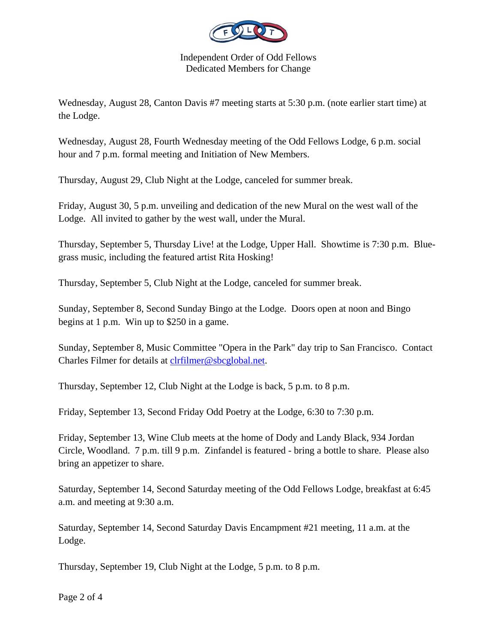

Wednesday, August 28, Canton Davis #7 meeting starts at 5:30 p.m. (note earlier start time) at the Lodge.

Wednesday, August 28, Fourth Wednesday meeting of the Odd Fellows Lodge, 6 p.m. social hour and 7 p.m. formal meeting and Initiation of New Members.

Thursday, August 29, Club Night at the Lodge, canceled for summer break.

Friday, August 30, 5 p.m. unveiling and dedication of the new Mural on the west wall of the Lodge. All invited to gather by the west wall, under the Mural.

Thursday, September 5, Thursday Live! at the Lodge, Upper Hall. Showtime is 7:30 p.m. Bluegrass music, including the featured artist Rita Hosking!

Thursday, September 5, Club Night at the Lodge, canceled for summer break.

Sunday, September 8, Second Sunday Bingo at the Lodge. Doors open at noon and Bingo begins at 1 p.m. Win up to \$250 in a game.

Sunday, September 8, Music Committee "Opera in the Park" day trip to San Francisco. Contact Charles Filmer for details at clrfilmer@sbcglobal.net.

Thursday, September 12, Club Night at the Lodge is back, 5 p.m. to 8 p.m.

Friday, September 13, Second Friday Odd Poetry at the Lodge, 6:30 to 7:30 p.m.

Friday, September 13, Wine Club meets at the home of Dody and Landy Black, 934 Jordan Circle, Woodland. 7 p.m. till 9 p.m. Zinfandel is featured - bring a bottle to share. Please also bring an appetizer to share.

Saturday, September 14, Second Saturday meeting of the Odd Fellows Lodge, breakfast at 6:45 a.m. and meeting at 9:30 a.m.

Saturday, September 14, Second Saturday Davis Encampment #21 meeting, 11 a.m. at the Lodge.

Thursday, September 19, Club Night at the Lodge, 5 p.m. to 8 p.m.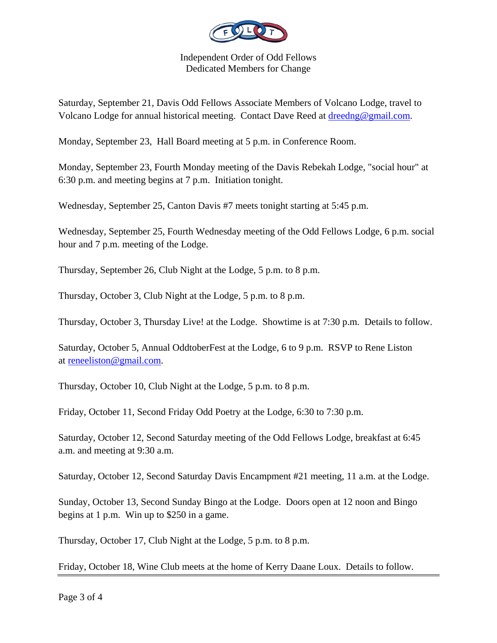

Saturday, September 21, Davis Odd Fellows Associate Members of Volcano Lodge, travel to Volcano Lodge for annual historical meeting. Contact Dave Reed at dreedng@gmail.com.

Monday, September 23, Hall Board meeting at 5 p.m. in Conference Room.

Monday, September 23, Fourth Monday meeting of the Davis Rebekah Lodge, "social hour" at 6:30 p.m. and meeting begins at 7 p.m. Initiation tonight.

Wednesday, September 25, Canton Davis #7 meets tonight starting at 5:45 p.m.

Wednesday, September 25, Fourth Wednesday meeting of the Odd Fellows Lodge, 6 p.m. social hour and 7 p.m. meeting of the Lodge.

Thursday, September 26, Club Night at the Lodge, 5 p.m. to 8 p.m.

Thursday, October 3, Club Night at the Lodge, 5 p.m. to 8 p.m.

Thursday, October 3, Thursday Live! at the Lodge. Showtime is at 7:30 p.m. Details to follow.

Saturday, October 5, Annual OddtoberFest at the Lodge, 6 to 9 p.m. RSVP to Rene Liston at reneeliston@gmail.com.

Thursday, October 10, Club Night at the Lodge, 5 p.m. to 8 p.m.

Friday, October 11, Second Friday Odd Poetry at the Lodge, 6:30 to 7:30 p.m.

Saturday, October 12, Second Saturday meeting of the Odd Fellows Lodge, breakfast at 6:45 a.m. and meeting at 9:30 a.m.

Saturday, October 12, Second Saturday Davis Encampment #21 meeting, 11 a.m. at the Lodge.

Sunday, October 13, Second Sunday Bingo at the Lodge. Doors open at 12 noon and Bingo begins at 1 p.m. Win up to \$250 in a game.

Thursday, October 17, Club Night at the Lodge, 5 p.m. to 8 p.m.

Friday, October 18, Wine Club meets at the home of Kerry Daane Loux. Details to follow.